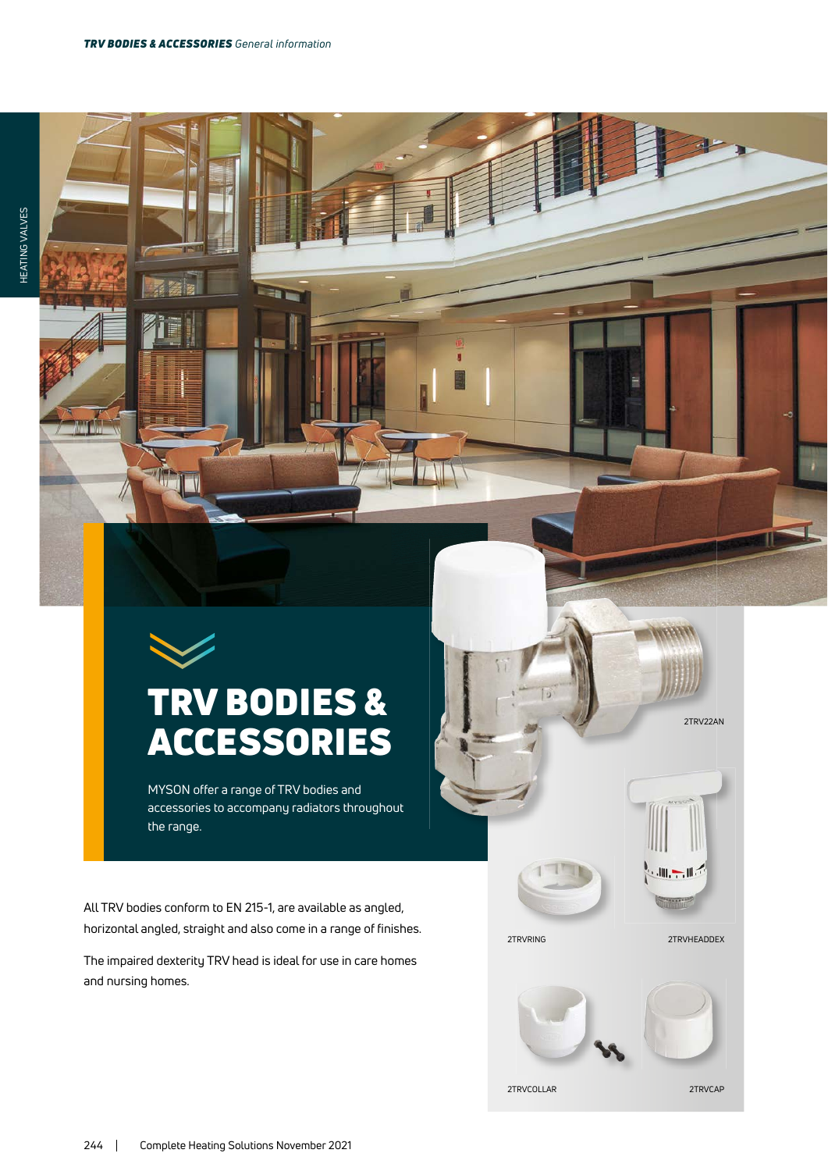## TRV BODIES & ACCESSORIES

MYSON offer a range of TRV bodies and accessories to accompany radiators throughout the range.

All TRV bodies conform to EN 215-1, are available as angled, horizontal angled, straight and also come in a range of finishes.

The impaired dexterity TRV head is ideal for use in care homes and nursing homes.

2TRVRING 2TRVHEADDEX

 $-1$ 

2TRV22AN



2TRVCOLLAR 2TRVCAP